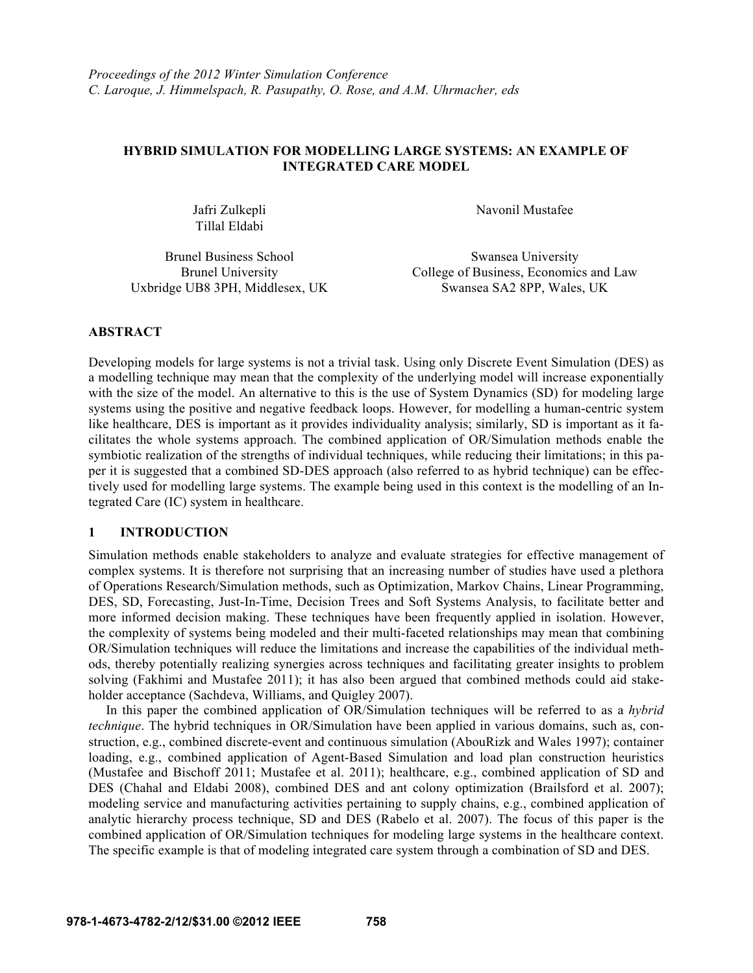## **HYBRID SIMULATION FOR MODELLING LARGE SYSTEMS: AN EXAMPLE OF INTEGRATED CARE MODEL**

Jafri Zulkepli Tillal Eldabi

Navonil Mustafee

Brunel Business School Swansea University Uxbridge UB8 3PH, Middlesex, UK Swansea SA2 8PP, Wales, UK

Brunel University College of Business, Economics and Law

## **ABSTRACT**

Developing models for large systems is not a trivial task. Using only Discrete Event Simulation (DES) as a modelling technique may mean that the complexity of the underlying model will increase exponentially with the size of the model. An alternative to this is the use of System Dynamics (SD) for modeling large systems using the positive and negative feedback loops. However, for modelling a human-centric system like healthcare, DES is important as it provides individuality analysis; similarly, SD is important as it facilitates the whole systems approach. The combined application of OR/Simulation methods enable the symbiotic realization of the strengths of individual techniques, while reducing their limitations; in this paper it is suggested that a combined SD-DES approach (also referred to as hybrid technique) can be effectively used for modelling large systems. The example being used in this context is the modelling of an Integrated Care (IC) system in healthcare.

## **1 INTRODUCTION**

Simulation methods enable stakeholders to analyze and evaluate strategies for effective management of complex systems. It is therefore not surprising that an increasing number of studies have used a plethora of Operations Research/Simulation methods, such as Optimization, Markov Chains, Linear Programming, DES, SD, Forecasting, Just-In-Time, Decision Trees and Soft Systems Analysis, to facilitate better and more informed decision making. These techniques have been frequently applied in isolation. However, the complexity of systems being modeled and their multi-faceted relationships may mean that combining OR/Simulation techniques will reduce the limitations and increase the capabilities of the individual methods, thereby potentially realizing synergies across techniques and facilitating greater insights to problem solving (Fakhimi and Mustafee 2011); it has also been argued that combined methods could aid stakeholder acceptance (Sachdeva, Williams, and Quigley 2007).

In this paper the combined application of OR/Simulation techniques will be referred to as a *hybrid technique*. The hybrid techniques in OR/Simulation have been applied in various domains, such as, construction, e.g., combined discrete-event and continuous simulation (AbouRizk and Wales 1997); container loading, e.g., combined application of Agent-Based Simulation and load plan construction heuristics (Mustafee and Bischoff 2011; Mustafee et al. 2011); healthcare, e.g., combined application of SD and DES (Chahal and Eldabi 2008), combined DES and ant colony optimization (Brailsford et al. 2007); modeling service and manufacturing activities pertaining to supply chains, e.g., combined application of analytic hierarchy process technique, SD and DES (Rabelo et al. 2007). The focus of this paper is the combined application of OR/Simulation techniques for modeling large systems in the healthcare context. The specific example is that of modeling integrated care system through a combination of SD and DES.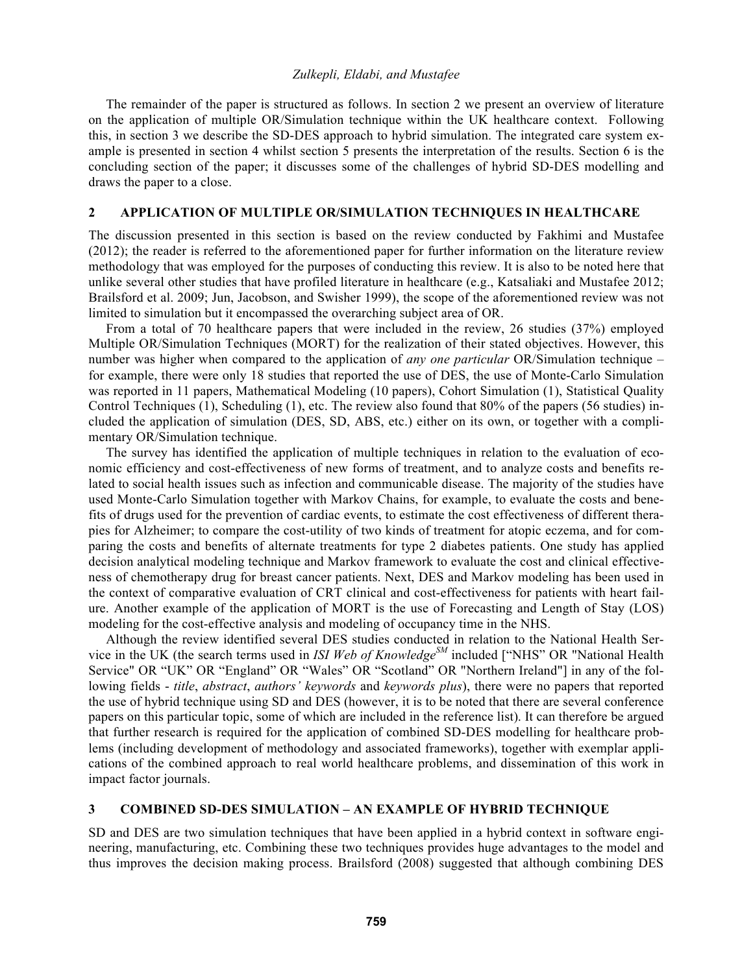The remainder of the paper is structured as follows. In section 2 we present an overview of literature on the application of multiple OR/Simulation technique within the UK healthcare context. Following this, in section 3 we describe the SD-DES approach to hybrid simulation. The integrated care system example is presented in section 4 whilst section 5 presents the interpretation of the results. Section 6 is the concluding section of the paper; it discusses some of the challenges of hybrid SD-DES modelling and draws the paper to a close.

### **2 APPLICATION OF MULTIPLE OR/SIMULATION TECHNIQUES IN HEALTHCARE**

The discussion presented in this section is based on the review conducted by Fakhimi and Mustafee (2012); the reader is referred to the aforementioned paper for further information on the literature review methodology that was employed for the purposes of conducting this review. It is also to be noted here that unlike several other studies that have profiled literature in healthcare (e.g., Katsaliaki and Mustafee 2012; Brailsford et al. 2009; Jun, Jacobson, and Swisher 1999), the scope of the aforementioned review was not limited to simulation but it encompassed the overarching subject area of OR.

 From a total of 70 healthcare papers that were included in the review, 26 studies (37%) employed Multiple OR/Simulation Techniques (MORT) for the realization of their stated objectives. However, this number was higher when compared to the application of *any one particular* OR/Simulation technique – for example, there were only 18 studies that reported the use of DES, the use of Monte-Carlo Simulation was reported in 11 papers, Mathematical Modeling (10 papers), Cohort Simulation (1), Statistical Quality Control Techniques (1), Scheduling (1), etc. The review also found that 80% of the papers (56 studies) included the application of simulation (DES, SD, ABS, etc.) either on its own, or together with a complimentary OR/Simulation technique.

 The survey has identified the application of multiple techniques in relation to the evaluation of economic efficiency and cost-effectiveness of new forms of treatment, and to analyze costs and benefits related to social health issues such as infection and communicable disease. The majority of the studies have used Monte-Carlo Simulation together with Markov Chains, for example, to evaluate the costs and benefits of drugs used for the prevention of cardiac events, to estimate the cost effectiveness of different therapies for Alzheimer; to compare the cost-utility of two kinds of treatment for atopic eczema, and for comparing the costs and benefits of alternate treatments for type 2 diabetes patients. One study has applied decision analytical modeling technique and Markov framework to evaluate the cost and clinical effectiveness of chemotherapy drug for breast cancer patients. Next, DES and Markov modeling has been used in the context of comparative evaluation of CRT clinical and cost-effectiveness for patients with heart failure. Another example of the application of MORT is the use of Forecasting and Length of Stay (LOS) modeling for the cost-effective analysis and modeling of occupancy time in the NHS.

 Although the review identified several DES studies conducted in relation to the National Health Service in the UK (the search terms used in *ISI Web of KnowledgeSM* included ["NHS" OR "National Health Service" OR "UK" OR "England" OR "Wales" OR "Scotland" OR "Northern Ireland"] in any of the following fields - *title*, *abstract*, *authors' keywords* and *keywords plus*), there were no papers that reported the use of hybrid technique using SD and DES (however, it is to be noted that there are several conference papers on this particular topic, some of which are included in the reference list). It can therefore be argued that further research is required for the application of combined SD-DES modelling for healthcare problems (including development of methodology and associated frameworks), together with exemplar applications of the combined approach to real world healthcare problems, and dissemination of this work in impact factor journals.

#### **3 COMBINED SD-DES SIMULATION – AN EXAMPLE OF HYBRID TECHNIQUE**

SD and DES are two simulation techniques that have been applied in a hybrid context in software engineering, manufacturing, etc. Combining these two techniques provides huge advantages to the model and thus improves the decision making process. Brailsford (2008) suggested that although combining DES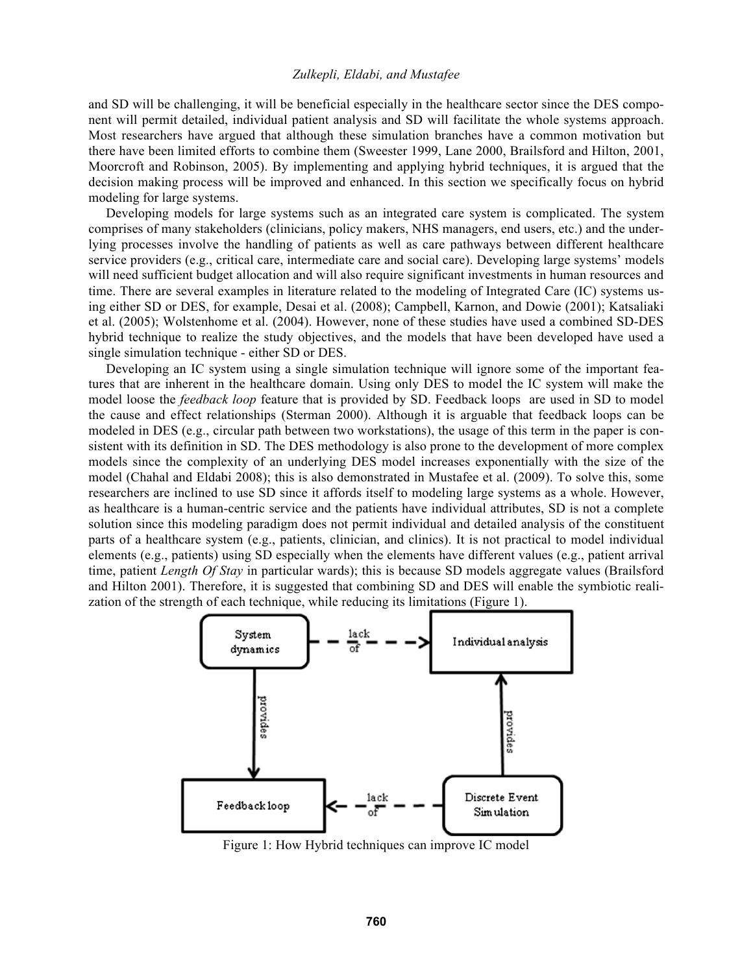and SD will be challenging, it will be beneficial especially in the healthcare sector since the DES component will permit detailed, individual patient analysis and SD will facilitate the whole systems approach. Most researchers have argued that although these simulation branches have a common motivation but there have been limited efforts to combine them (Sweester 1999, Lane 2000, Brailsford and Hilton, 2001, Moorcroft and Robinson, 2005). By implementing and applying hybrid techniques, it is argued that the decision making process will be improved and enhanced. In this section we specifically focus on hybrid modeling for large systems.

Developing models for large systems such as an integrated care system is complicated. The system comprises of many stakeholders (clinicians, policy makers, NHS managers, end users, etc.) and the underlying processes involve the handling of patients as well as care pathways between different healthcare service providers (e.g., critical care, intermediate care and social care). Developing large systems' models will need sufficient budget allocation and will also require significant investments in human resources and time. There are several examples in literature related to the modeling of Integrated Care (IC) systems using either SD or DES, for example, Desai et al. (2008); Campbell, Karnon, and Dowie (2001); Katsaliaki et al. (2005); Wolstenhome et al. (2004). However, none of these studies have used a combined SD-DES hybrid technique to realize the study objectives, and the models that have been developed have used a single simulation technique - either SD or DES.

Developing an IC system using a single simulation technique will ignore some of the important features that are inherent in the healthcare domain. Using only DES to model the IC system will make the model loose the *feedback loop* feature that is provided by SD. Feedback loops are used in SD to model the cause and effect relationships (Sterman 2000). Although it is arguable that feedback loops can be modeled in DES (e.g., circular path between two workstations), the usage of this term in the paper is consistent with its definition in SD. The DES methodology is also prone to the development of more complex models since the complexity of an underlying DES model increases exponentially with the size of the model (Chahal and Eldabi 2008); this is also demonstrated in Mustafee et al. (2009). To solve this, some researchers are inclined to use SD since it affords itself to modeling large systems as a whole. However, as healthcare is a human-centric service and the patients have individual attributes, SD is not a complete solution since this modeling paradigm does not permit individual and detailed analysis of the constituent parts of a healthcare system (e.g., patients, clinician, and clinics). It is not practical to model individual elements (e.g., patients) using SD especially when the elements have different values (e.g., patient arrival time, patient *Length Of Stay* in particular wards); this is because SD models aggregate values (Brailsford and Hilton 2001). Therefore, it is suggested that combining SD and DES will enable the symbiotic realization of the strength of each technique, while reducing its limitations (Figure 1).



Figure 1: How Hybrid techniques can improve IC model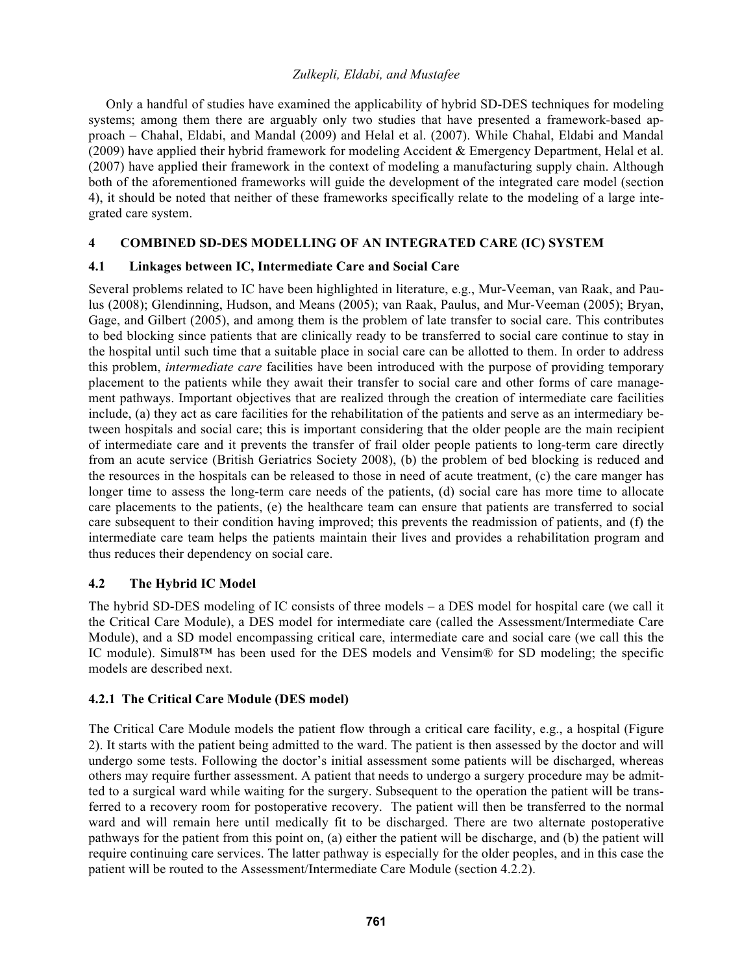Only a handful of studies have examined the applicability of hybrid SD-DES techniques for modeling systems; among them there are arguably only two studies that have presented a framework-based approach – Chahal, Eldabi, and Mandal (2009) and Helal et al. (2007). While Chahal, Eldabi and Mandal (2009) have applied their hybrid framework for modeling Accident & Emergency Department, Helal et al. (2007) have applied their framework in the context of modeling a manufacturing supply chain. Although both of the aforementioned frameworks will guide the development of the integrated care model (section 4), it should be noted that neither of these frameworks specifically relate to the modeling of a large integrated care system.

# **4 COMBINED SD-DES MODELLING OF AN INTEGRATED CARE (IC) SYSTEM**

# **4.1 Linkages between IC, Intermediate Care and Social Care**

Several problems related to IC have been highlighted in literature, e.g., Mur-Veeman, van Raak, and Paulus (2008); Glendinning, Hudson, and Means (2005); van Raak, Paulus, and Mur-Veeman (2005); Bryan, Gage, and Gilbert (2005), and among them is the problem of late transfer to social care. This contributes to bed blocking since patients that are clinically ready to be transferred to social care continue to stay in the hospital until such time that a suitable place in social care can be allotted to them. In order to address this problem, *intermediate care* facilities have been introduced with the purpose of providing temporary placement to the patients while they await their transfer to social care and other forms of care management pathways. Important objectives that are realized through the creation of intermediate care facilities include, (a) they act as care facilities for the rehabilitation of the patients and serve as an intermediary between hospitals and social care; this is important considering that the older people are the main recipient of intermediate care and it prevents the transfer of frail older people patients to long-term care directly from an acute service (British Geriatrics Society 2008), (b) the problem of bed blocking is reduced and the resources in the hospitals can be released to those in need of acute treatment, (c) the care manger has longer time to assess the long-term care needs of the patients, (d) social care has more time to allocate care placements to the patients, (e) the healthcare team can ensure that patients are transferred to social care subsequent to their condition having improved; this prevents the readmission of patients, and (f) the intermediate care team helps the patients maintain their lives and provides a rehabilitation program and thus reduces their dependency on social care.

# **4.2 The Hybrid IC Model**

The hybrid SD-DES modeling of IC consists of three models – a DES model for hospital care (we call it the Critical Care Module), a DES model for intermediate care (called the Assessment/Intermediate Care Module), and a SD model encompassing critical care, intermediate care and social care (we call this the IC module). Simul8™ has been used for the DES models and Vensim® for SD modeling; the specific models are described next.

## **4.2.1 The Critical Care Module (DES model)**

The Critical Care Module models the patient flow through a critical care facility, e.g., a hospital (Figure 2). It starts with the patient being admitted to the ward. The patient is then assessed by the doctor and will undergo some tests. Following the doctor's initial assessment some patients will be discharged, whereas others may require further assessment. A patient that needs to undergo a surgery procedure may be admitted to a surgical ward while waiting for the surgery. Subsequent to the operation the patient will be transferred to a recovery room for postoperative recovery. The patient will then be transferred to the normal ward and will remain here until medically fit to be discharged. There are two alternate postoperative pathways for the patient from this point on, (a) either the patient will be discharge, and (b) the patient will require continuing care services. The latter pathway is especially for the older peoples, and in this case the patient will be routed to the Assessment/Intermediate Care Module (section 4.2.2).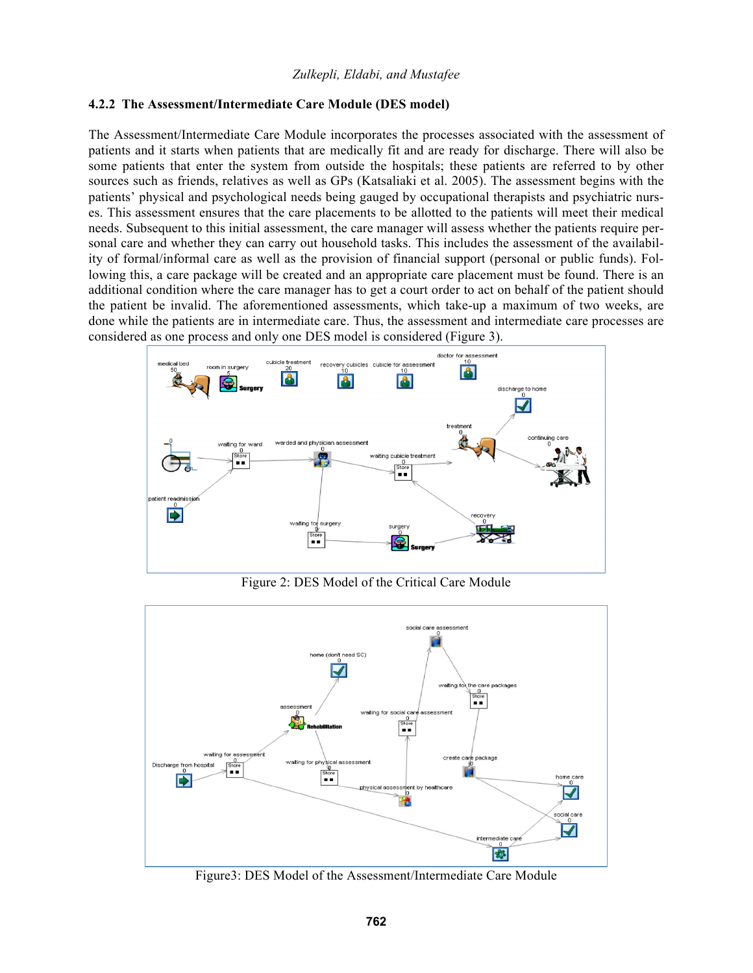### **4.2.2 The Assessment/Intermediate Care Module (DES model)**

The Assessment/Intermediate Care Module incorporates the processes associated with the assessment of patients and it starts when patients that are medically fit and are ready for discharge. There will also be some patients that enter the system from outside the hospitals; these patients are referred to by other sources such as friends, relatives as well as GPs (Katsaliaki et al. 2005). The assessment begins with the patients' physical and psychological needs being gauged by occupational therapists and psychiatric nurses. This assessment ensures that the care placements to be allotted to the patients will meet their medical needs. Subsequent to this initial assessment, the care manager will assess whether the patients require personal care and whether they can carry out household tasks. This includes the assessment of the availability of formal/informal care as well as the provision of financial support (personal or public funds). Following this, a care package will be created and an appropriate care placement must be found. There is an additional condition where the care manager has to get a court order to act on behalf of the patient should the patient be invalid. The aforementioned assessments, which take-up a maximum of two weeks, are done while the patients are in intermediate care. Thus, the assessment and intermediate care processes are considered as one process and only one DES model is considered (Figure 3).



Figure 2: DES Model of the Critical Care Module



Figure3: DES Model of the Assessment/Intermediate Care Module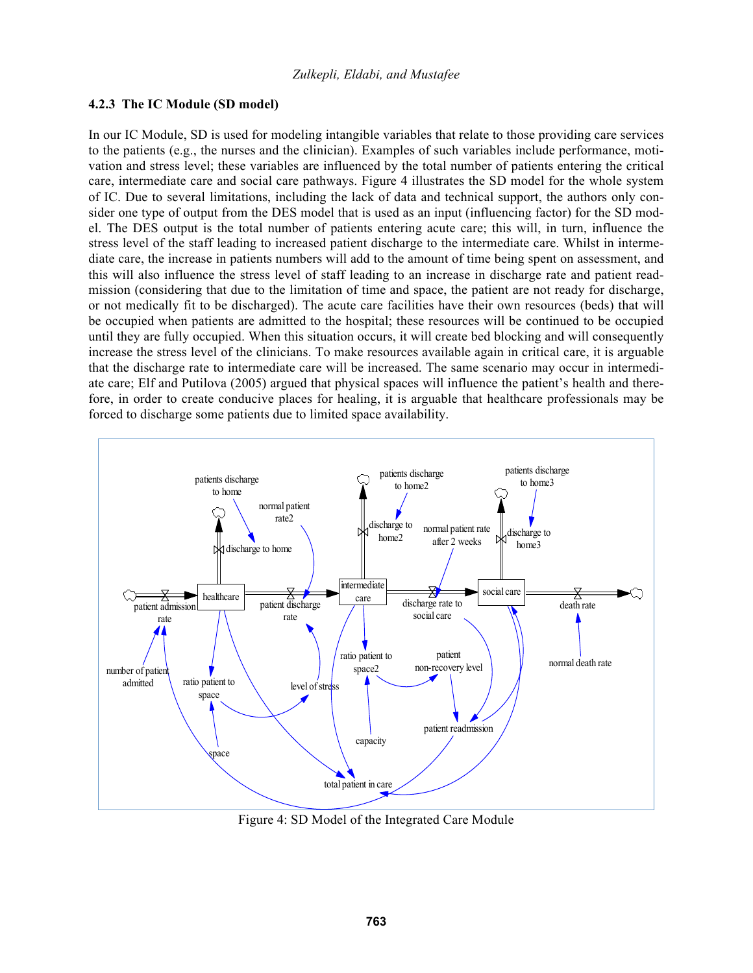### **4.2.3 The IC Module (SD model)**

In our IC Module, SD is used for modeling intangible variables that relate to those providing care services to the patients (e.g., the nurses and the clinician). Examples of such variables include performance, motivation and stress level; these variables are influenced by the total number of patients entering the critical care, intermediate care and social care pathways. Figure 4 illustrates the SD model for the whole system of IC. Due to several limitations, including the lack of data and technical support, the authors only consider one type of output from the DES model that is used as an input (influencing factor) for the SD model. The DES output is the total number of patients entering acute care; this will, in turn, influence the stress level of the staff leading to increased patient discharge to the intermediate care. Whilst in intermediate care, the increase in patients numbers will add to the amount of time being spent on assessment, and this will also influence the stress level of staff leading to an increase in discharge rate and patient readmission (considering that due to the limitation of time and space, the patient are not ready for discharge, or not medically fit to be discharged). The acute care facilities have their own resources (beds) that will be occupied when patients are admitted to the hospital; these resources will be continued to be occupied until they are fully occupied. When this situation occurs, it will create bed blocking and will consequently increase the stress level of the clinicians. To make resources available again in critical care, it is arguable that the discharge rate to intermediate care will be increased. The same scenario may occur in intermediate care; Elf and Putilova (2005) argued that physical spaces will influence the patient's health and therefore, in order to create conducive places for healing, it is arguable that healthcare professionals may be forced to discharge some patients due to limited space availability.



Figure 4: SD Model of the Integrated Care Module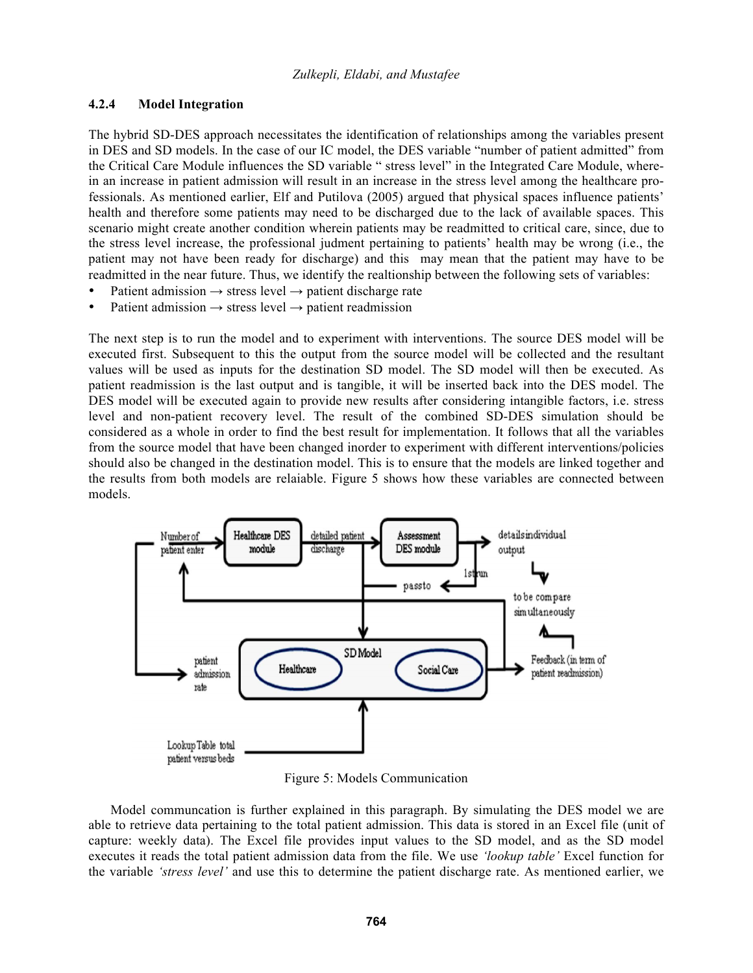## **4.2.4 Model Integration**

The hybrid SD-DES approach necessitates the identification of relationships among the variables present in DES and SD models. In the case of our IC model, the DES variable "number of patient admitted" from the Critical Care Module influences the SD variable " stress level" in the Integrated Care Module, wherein an increase in patient admission will result in an increase in the stress level among the healthcare professionals. As mentioned earlier, Elf and Putilova (2005) argued that physical spaces influence patients' health and therefore some patients may need to be discharged due to the lack of available spaces. This scenario might create another condition wherein patients may be readmitted to critical care, since, due to the stress level increase, the professional judment pertaining to patients' health may be wrong (i.e., the patient may not have been ready for discharge) and this may mean that the patient may have to be readmitted in the near future. Thus, we identify the realtionship between the following sets of variables:

- Patient admission  $\rightarrow$  stress level  $\rightarrow$  patient discharge rate
- Patient admission  $\rightarrow$  stress level  $\rightarrow$  patient readmission

The next step is to run the model and to experiment with interventions. The source DES model will be executed first. Subsequent to this the output from the source model will be collected and the resultant values will be used as inputs for the destination SD model. The SD model will then be executed. As patient readmission is the last output and is tangible, it will be inserted back into the DES model. The DES model will be executed again to provide new results after considering intangible factors, i.e. stress level and non-patient recovery level. The result of the combined SD-DES simulation should be considered as a whole in order to find the best result for implementation. It follows that all the variables from the source model that have been changed inorder to experiment with different interventions/policies should also be changed in the destination model. This is to ensure that the models are linked together and the results from both models are relaiable. Figure 5 shows how these variables are connected between models.



Figure 5: Models Communication

 Model communcation is further explained in this paragraph. By simulating the DES model we are able to retrieve data pertaining to the total patient admission. This data is stored in an Excel file (unit of capture: weekly data). The Excel file provides input values to the SD model, and as the SD model executes it reads the total patient admission data from the file. We use *'lookup table'* Excel function for the variable *'stress level'* and use this to determine the patient discharge rate. As mentioned earlier, we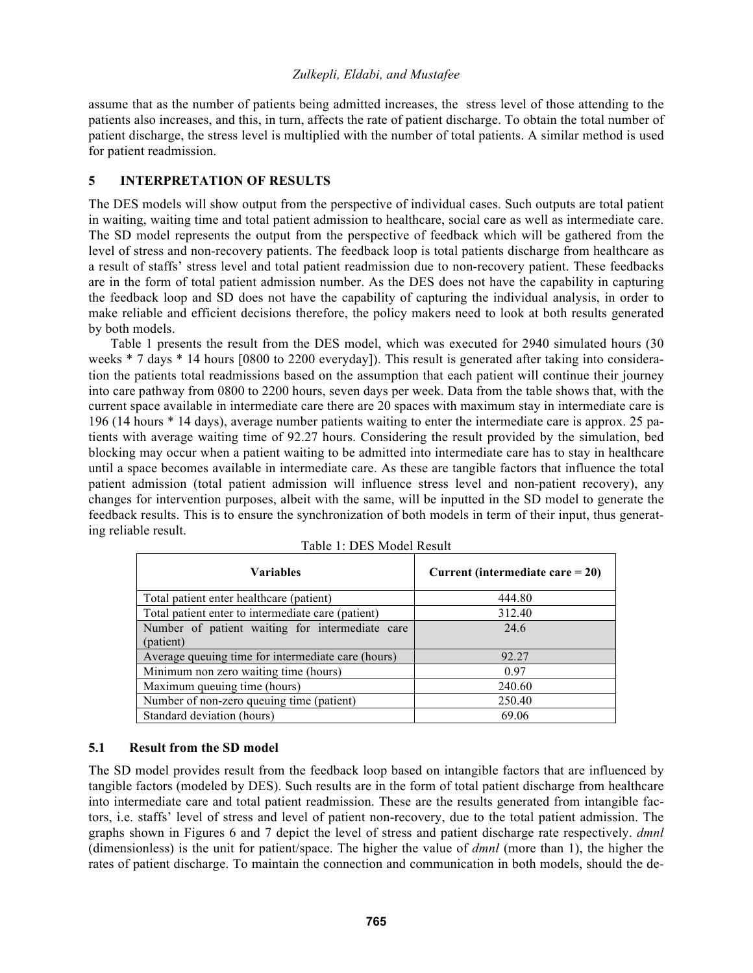assume that as the number of patients being admitted increases, the stress level of those attending to the patients also increases, and this, in turn, affects the rate of patient discharge. To obtain the total number of patient discharge, the stress level is multiplied with the number of total patients. A similar method is used for patient readmission.

## **5 INTERPRETATION OF RESULTS**

The DES models will show output from the perspective of individual cases. Such outputs are total patient in waiting, waiting time and total patient admission to healthcare, social care as well as intermediate care. The SD model represents the output from the perspective of feedback which will be gathered from the level of stress and non-recovery patients. The feedback loop is total patients discharge from healthcare as a result of staffs' stress level and total patient readmission due to non-recovery patient. These feedbacks are in the form of total patient admission number. As the DES does not have the capability in capturing the feedback loop and SD does not have the capability of capturing the individual analysis, in order to make reliable and efficient decisions therefore, the policy makers need to look at both results generated by both models.

 Table 1 presents the result from the DES model, which was executed for 2940 simulated hours (30 weeks \* 7 days \* 14 hours [0800 to 2200 everyday]). This result is generated after taking into consideration the patients total readmissions based on the assumption that each patient will continue their journey into care pathway from 0800 to 2200 hours, seven days per week. Data from the table shows that, with the current space available in intermediate care there are 20 spaces with maximum stay in intermediate care is 196 (14 hours \* 14 days), average number patients waiting to enter the intermediate care is approx. 25 patients with average waiting time of 92.27 hours. Considering the result provided by the simulation, bed blocking may occur when a patient waiting to be admitted into intermediate care has to stay in healthcare until a space becomes available in intermediate care. As these are tangible factors that influence the total patient admission (total patient admission will influence stress level and non-patient recovery), any changes for intervention purposes, albeit with the same, will be inputted in the SD model to generate the feedback results. This is to ensure the synchronization of both models in term of their input, thus generating reliable result.

| <b>Variables</b>                                   | Current (intermediate care $= 20$ ) |
|----------------------------------------------------|-------------------------------------|
| Total patient enter healthcare (patient)           | 444.80                              |
| Total patient enter to intermediate care (patient) | 312.40                              |
| Number of patient waiting for intermediate care    | 24.6                                |
| (patient)                                          |                                     |
| Average queuing time for intermediate care (hours) | 92.27                               |
| Minimum non zero waiting time (hours)              | 0.97                                |
| Maximum queuing time (hours)                       | 240.60                              |
| Number of non-zero queuing time (patient)          | 250.40                              |
| Standard deviation (hours)                         | 69.06                               |

Table 1: DES Model Result

## **5.1 Result from the SD model**

The SD model provides result from the feedback loop based on intangible factors that are influenced by tangible factors (modeled by DES). Such results are in the form of total patient discharge from healthcare into intermediate care and total patient readmission. These are the results generated from intangible factors, i.e. staffs' level of stress and level of patient non-recovery, due to the total patient admission. The graphs shown in Figures 6 and 7 depict the level of stress and patient discharge rate respectively. *dmnl* (dimensionless) is the unit for patient/space. The higher the value of *dmnl* (more than 1), the higher the rates of patient discharge. To maintain the connection and communication in both models, should the de-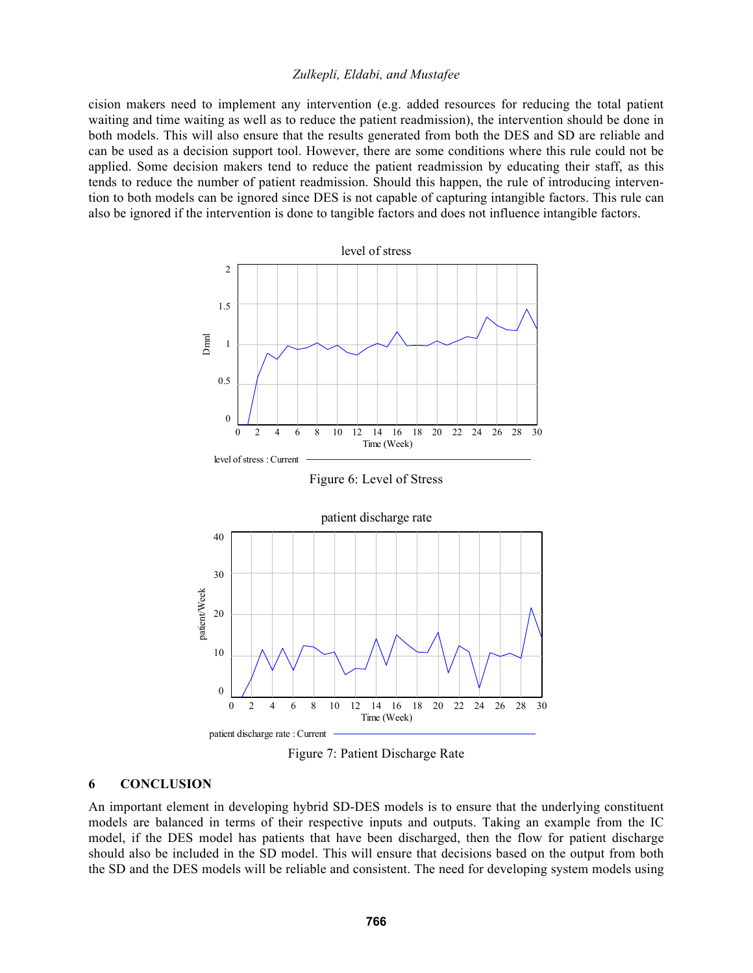cision makers need to implement any intervention (e.g. added resources for reducing the total patient waiting and time waiting as well as to reduce the patient readmission), the intervention should be done in both models. This will also ensure that the results generated from both the DES and SD are reliable and can be used as a decision support tool. However, there are some conditions where this rule could not be applied. Some decision makers tend to reduce the patient readmission by educating their staff, as this tends to reduce the number of patient readmission. Should this happen, the rule of introducing intervention to both models can be ignored since DES is not capable of capturing intangible factors. This rule can also be ignored if the intervention is done to tangible factors and does not influence intangible factors.



Figure 6: Level of Stress



Figure 7: Patient Discharge Rate

### **6 CONCLUSION**

An important element in developing hybrid SD-DES models is to ensure that the underlying constituent models are balanced in terms of their respective inputs and outputs. Taking an example from the IC model, if the DES model has patients that have been discharged, then the flow for patient discharge should also be included in the SD model. This will ensure that decisions based on the output from both the SD and the DES models will be reliable and consistent. The need for developing system models using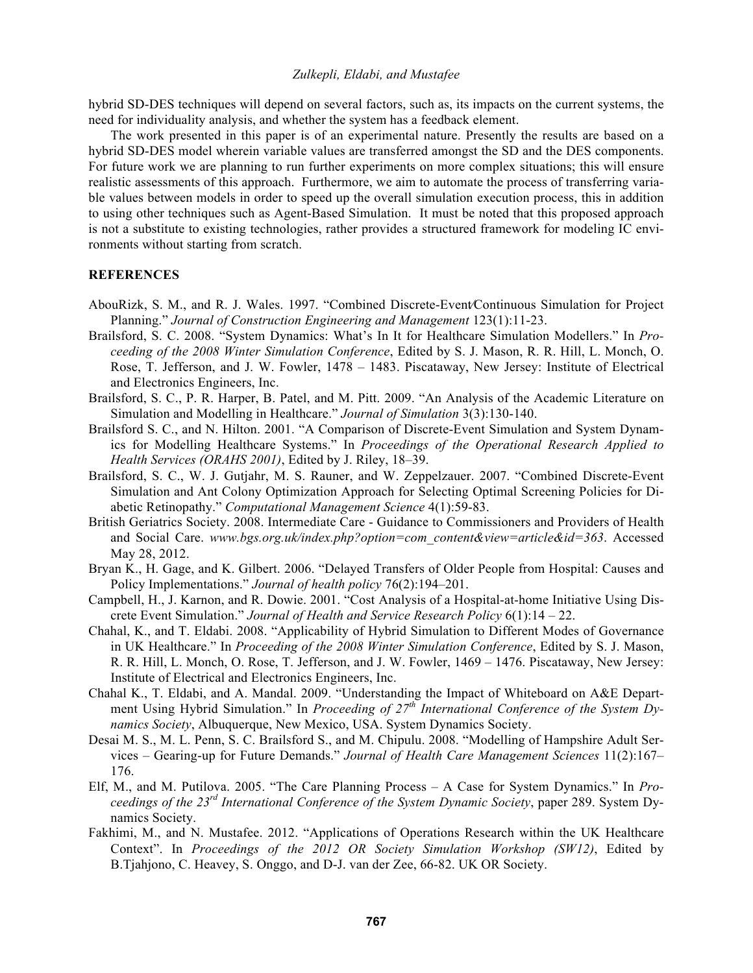hybrid SD-DES techniques will depend on several factors, such as, its impacts on the current systems, the need for individuality analysis, and whether the system has a feedback element.

 The work presented in this paper is of an experimental nature. Presently the results are based on a hybrid SD-DES model wherein variable values are transferred amongst the SD and the DES components. For future work we are planning to run further experiments on more complex situations; this will ensure realistic assessments of this approach. Furthermore, we aim to automate the process of transferring variable values between models in order to speed up the overall simulation execution process, this in addition to using other techniques such as Agent-Based Simulation. It must be noted that this proposed approach is not a substitute to existing technologies, rather provides a structured framework for modeling IC environments without starting from scratch.

#### **REFERENCES**

- AbouRizk, S. M., and R. J. Wales. 1997. "Combined Discrete-Event⁄Continuous Simulation for Project Planning." *Journal of Construction Engineering and Management* 123(1):11-23.
- Brailsford, S. C. 2008. "System Dynamics: What's In It for Healthcare Simulation Modellers." In *Proceeding of the 2008 Winter Simulation Conference*, Edited by S. J. Mason, R. R. Hill, L. Monch, O. Rose, T. Jefferson, and J. W. Fowler, 1478 – 1483. Piscataway, New Jersey: Institute of Electrical and Electronics Engineers, Inc.
- Brailsford, S. C., P. R. Harper, B. Patel, and M. Pitt. 2009. "An Analysis of the Academic Literature on Simulation and Modelling in Healthcare." *Journal of Simulation* 3(3):130-140.
- Brailsford S. C., and N. Hilton. 2001. "A Comparison of Discrete-Event Simulation and System Dynamics for Modelling Healthcare Systems." In *Proceedings of the Operational Research Applied to Health Services (ORAHS 2001)*, Edited by J. Riley, 18–39.
- Brailsford, S. C., W. J. Gutjahr, M. S. Rauner, and W. Zeppelzauer. 2007. "Combined Discrete-Event Simulation and Ant Colony Optimization Approach for Selecting Optimal Screening Policies for Diabetic Retinopathy." *Computational Management Science* 4(1):59-83.
- British Geriatrics Society. 2008. Intermediate Care Guidance to Commissioners and Providers of Health and Social Care. *www.bgs.org.uk/index.php?option=com\_content&view=article&id=363*. Accessed May 28, 2012.
- Bryan K., H. Gage, and K. Gilbert. 2006. "Delayed Transfers of Older People from Hospital: Causes and Policy Implementations." *Journal of health policy* 76(2):194–201.
- Campbell, H., J. Karnon, and R. Dowie. 2001. "Cost Analysis of a Hospital-at-home Initiative Using Discrete Event Simulation." *Journal of Health and Service Research Policy* 6(1):14 – 22.
- Chahal, K., and T. Eldabi. 2008. "Applicability of Hybrid Simulation to Different Modes of Governance in UK Healthcare." In *Proceeding of the 2008 Winter Simulation Conference*, Edited by S. J. Mason, R. R. Hill, L. Monch, O. Rose, T. Jefferson, and J. W. Fowler, 1469 – 1476. Piscataway, New Jersey: Institute of Electrical and Electronics Engineers, Inc.
- Chahal K., T. Eldabi, and A. Mandal. 2009. "Understanding the Impact of Whiteboard on A&E Department Using Hybrid Simulation." In *Proceeding of 27th International Conference of the System Dynamics Society*, Albuquerque, New Mexico, USA. System Dynamics Society.
- Desai M. S., M. L. Penn, S. C. Brailsford S., and M. Chipulu. 2008. "Modelling of Hampshire Adult Services – Gearing-up for Future Demands." *Journal of Health Care Management Sciences* 11(2):167– 176.
- Elf, M., and M. Putilova. 2005. "The Care Planning Process A Case for System Dynamics." In *Proceedings of the 23rd International Conference of the System Dynamic Society*, paper 289. System Dynamics Society.
- Fakhimi, M., and N. Mustafee. 2012. "Applications of Operations Research within the UK Healthcare Context". In *Proceedings of the 2012 OR Society Simulation Workshop (SW12)*, Edited by B.Tjahjono, C. Heavey, S. Onggo, and D-J. van der Zee, 66-82. UK OR Society.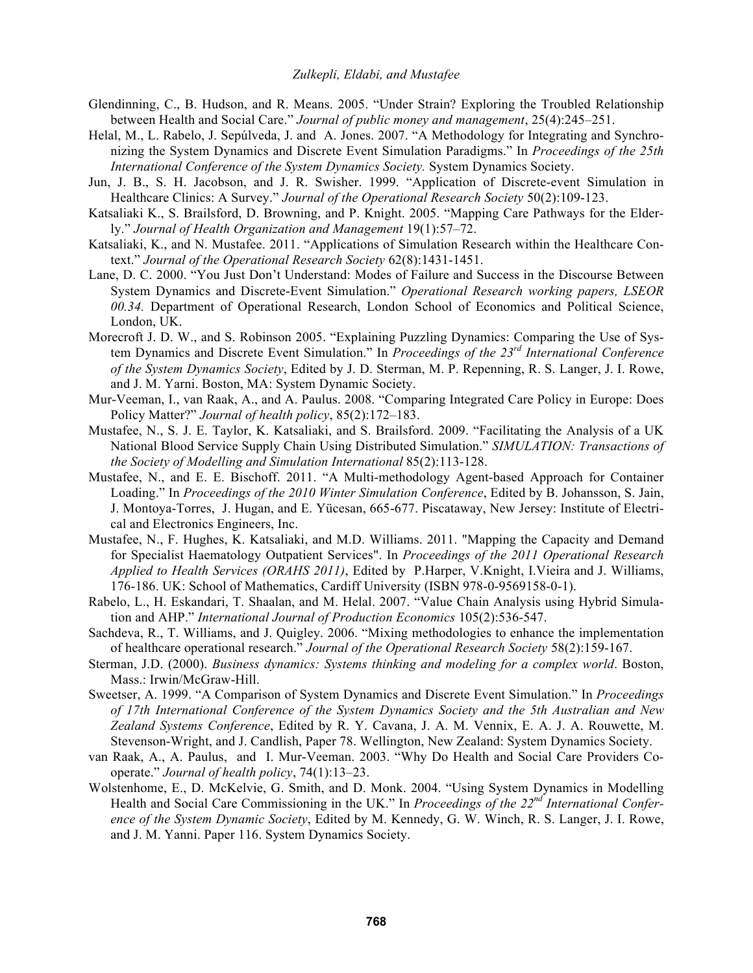- Glendinning, C., B. Hudson, and R. Means. 2005. "Under Strain? Exploring the Troubled Relationship between Health and Social Care." *Journal of public money and management*, 25(4):245–251.
- Helal, M., L. Rabelo, J. Sepúlveda, J. and A. Jones. 2007. "A Methodology for Integrating and Synchronizing the System Dynamics and Discrete Event Simulation Paradigms." In *Proceedings of the 25th International Conference of the System Dynamics Society.* System Dynamics Society.
- Jun, J. B., S. H. Jacobson, and J. R. Swisher. 1999. "Application of Discrete-event Simulation in Healthcare Clinics: A Survey." *Journal of the Operational Research Society* 50(2):109-123.
- Katsaliaki K., S. Brailsford, D. Browning, and P. Knight. 2005. "Mapping Care Pathways for the Elderly." *Journal of Health Organization and Management* 19(1):57–72.
- Katsaliaki, K., and N. Mustafee. 2011. "Applications of Simulation Research within the Healthcare Context." *Journal of the Operational Research Society* 62(8):1431-1451.
- Lane, D. C. 2000. "You Just Don't Understand: Modes of Failure and Success in the Discourse Between System Dynamics and Discrete-Event Simulation." *Operational Research working papers, LSEOR 00.34.* Department of Operational Research, London School of Economics and Political Science, London, UK.
- Morecroft J. D. W., and S. Robinson 2005. "Explaining Puzzling Dynamics: Comparing the Use of System Dynamics and Discrete Event Simulation." In *Proceedings of the 23rd International Conference of the System Dynamics Society*, Edited by J. D. Sterman, M. P. Repenning, R. S. Langer, J. I. Rowe, and J. M. Yarni. Boston, MA: System Dynamic Society.
- Mur-Veeman, I., van Raak, A., and A. Paulus. 2008. "Comparing Integrated Care Policy in Europe: Does Policy Matter?" *Journal of health policy*, 85(2):172–183.
- Mustafee, N., S. J. E. Taylor, K. Katsaliaki, and S. Brailsford. 2009. "Facilitating the Analysis of a UK National Blood Service Supply Chain Using Distributed Simulation." *SIMULATION: Transactions of the Society of Modelling and Simulation International* 85(2):113-128.
- Mustafee, N., and E. E. Bischoff. 2011. "A Multi-methodology Agent-based Approach for Container Loading." In *Proceedings of the 2010 Winter Simulation Conference*, Edited by B. Johansson, S. Jain, J. Montoya-Torres, J. Hugan, and E. Yücesan, 665-677. Piscataway, New Jersey: Institute of Electrical and Electronics Engineers, Inc.
- Mustafee, N., F. Hughes, K. Katsaliaki, and M.D. Williams. 2011. "Mapping the Capacity and Demand for Specialist Haematology Outpatient Services". In *Proceedings of the 2011 Operational Research Applied to Health Services (ORAHS 2011)*, Edited by P.Harper, V.Knight, I.Vieira and J. Williams, 176-186. UK: School of Mathematics, Cardiff University (ISBN 978-0-9569158-0-1).
- Rabelo, L., H. Eskandari, T. Shaalan, and M. Helal. 2007. "Value Chain Analysis using Hybrid Simulation and AHP." *International Journal of Production Economics* 105(2):536-547.
- Sachdeva, R., T. Williams, and J. Quigley. 2006. "Mixing methodologies to enhance the implementation of healthcare operational research." *Journal of the Operational Research Society* 58(2):159-167.
- Sterman, J.D. (2000). *Business dynamics: Systems thinking and modeling for a complex world*. Boston, Mass.: Irwin/McGraw-Hill.
- Sweetser, A. 1999. "A Comparison of System Dynamics and Discrete Event Simulation." In *Proceedings of 17th International Conference of the System Dynamics Society and the 5th Australian and New Zealand Systems Conference*, Edited by R. Y. Cavana, J. A. M. Vennix, E. A. J. A. Rouwette, M. Stevenson-Wright, and J. Candlish, Paper 78. Wellington, New Zealand: System Dynamics Society.
- van Raak, A., A. Paulus, and I. Mur-Veeman. 2003. "Why Do Health and Social Care Providers Cooperate." *Journal of health policy*, 74(1):13–23.
- Wolstenhome, E., D. McKelvie, G. Smith, and D. Monk. 2004. "Using System Dynamics in Modelling Health and Social Care Commissioning in the UK." In *Proceedings of the 22<sup>nd</sup> International Conference of the System Dynamic Society*, Edited by M. Kennedy, G. W. Winch, R. S. Langer, J. I. Rowe, and J. M. Yanni. Paper 116. System Dynamics Society.